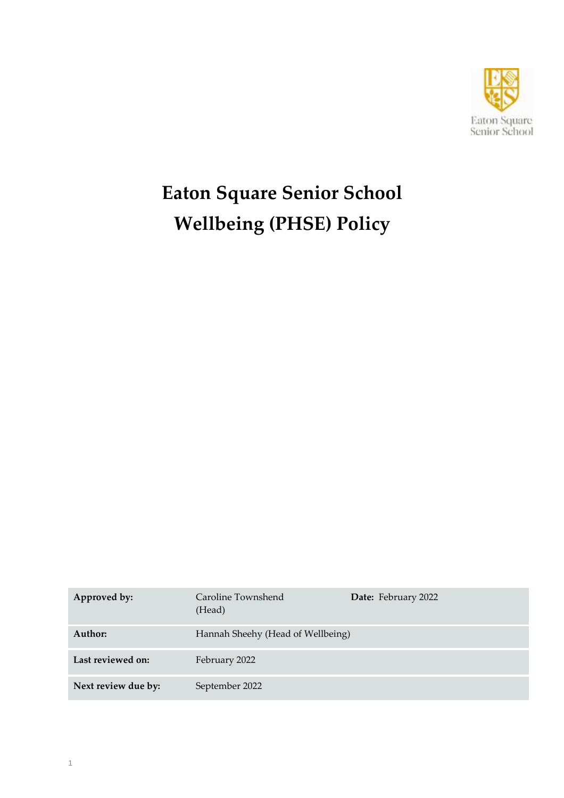

# **Eaton Square Senior School Wellbeing (PHSE) Policy**

| Approved by:        | Caroline Townshend<br>(Head)      | Date: February 2022 |  |
|---------------------|-----------------------------------|---------------------|--|
| Author:             | Hannah Sheehy (Head of Wellbeing) |                     |  |
| Last reviewed on:   | February 2022                     |                     |  |
| Next review due by: | September 2022                    |                     |  |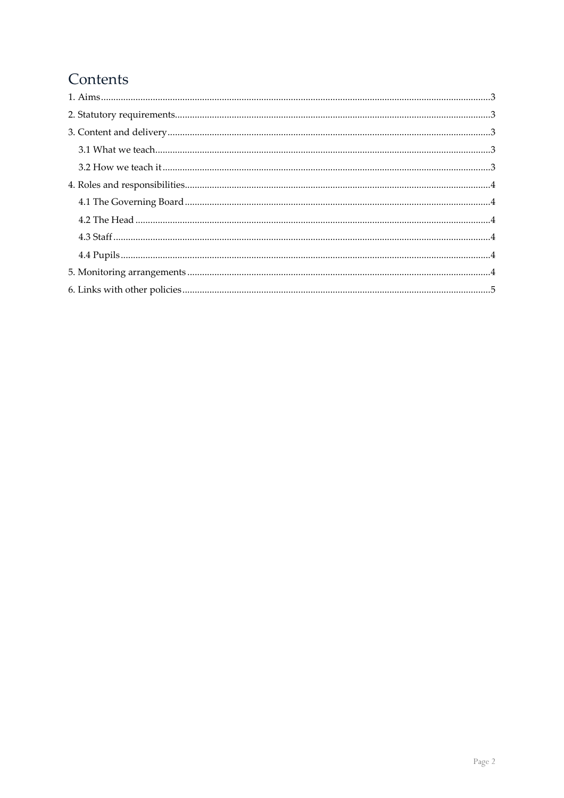# Contents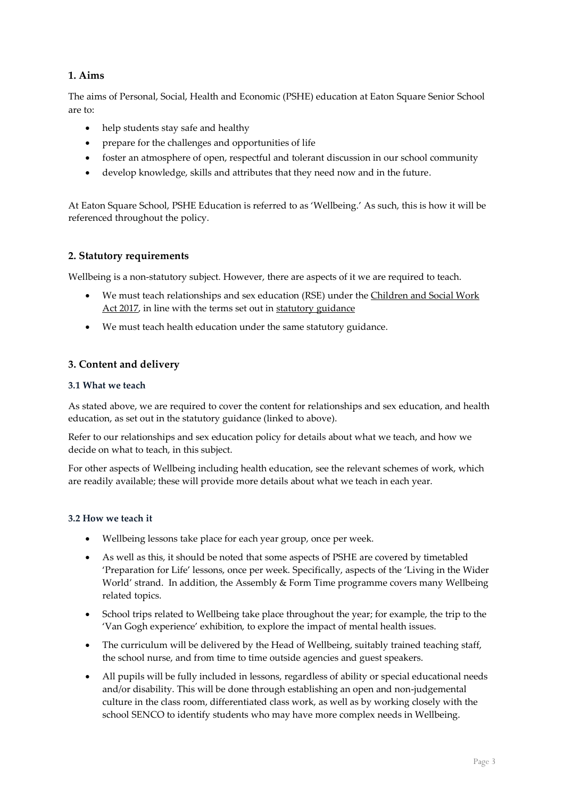# <span id="page-2-0"></span>**1. Aims**

The aims of Personal, Social, Health and Economic (PSHE) education at Eaton Square Senior School are to:

- help students stay safe and healthy
- prepare for the challenges and opportunities of life
- foster an atmosphere of open, respectful and tolerant discussion in our school community
- develop knowledge, skills and attributes that they need now and in the future.

At Eaton Square School, PSHE Education is referred to as 'Wellbeing.' As such, this is how it will be referenced throughout the policy.

# <span id="page-2-1"></span>**2. Statutory requirements**

Wellbeing is a non-statutory subject. However, there are aspects of it we are required to teach.

- We must teach relationships and sex education (RSE) under the [Children and Social Work](http://www.legislation.gov.uk/ukpga/2017/16/section/34/enacted)  [Act 2017,](http://www.legislation.gov.uk/ukpga/2017/16/section/34/enacted) in line with the terms set out in [statutory guidance](https://www.gov.uk/government/publications/relationships-education-relationships-and-sex-education-rse-and-health-education)
- We must teach health education under the same statutory guidance.

# <span id="page-2-2"></span>**3. Content and delivery**

#### <span id="page-2-3"></span>**3.1 What we teach**

As stated above, we are required to cover the content for relationships and sex education, and health education, as set out in the statutory guidance (linked to above).

Refer to our relationships and sex education policy for details about what we teach, and how we decide on what to teach, in this subject.

For other aspects of Wellbeing including health education, see the relevant schemes of work, which are readily available; these will provide more details about what we teach in each year.

# <span id="page-2-4"></span>**3.2 How we teach it**

- Wellbeing lessons take place for each year group, once per week.
- As well as this, it should be noted that some aspects of PSHE are covered by timetabled 'Preparation for Life' lessons, once per week. Specifically, aspects of the 'Living in the Wider World' strand. In addition, the Assembly & Form Time programme covers many Wellbeing related topics.
- School trips related to Wellbeing take place throughout the year; for example, the trip to the 'Van Gogh experience' exhibition, to explore the impact of mental health issues.
- The curriculum will be delivered by the Head of Wellbeing, suitably trained teaching staff, the school nurse, and from time to time outside agencies and guest speakers.
- All pupils will be fully included in lessons, regardless of ability or special educational needs and/or disability. This will be done through establishing an open and non-judgemental culture in the class room, differentiated class work, as well as by working closely with the school SENCO to identify students who may have more complex needs in Wellbeing.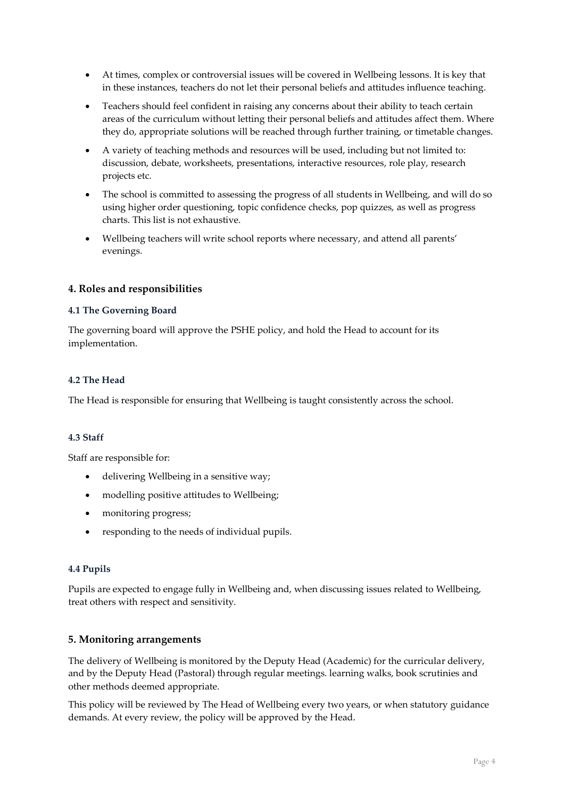- At times, complex or controversial issues will be covered in Wellbeing lessons. It is key that in these instances, teachers do not let their personal beliefs and attitudes influence teaching.
- Teachers should feel confident in raising any concerns about their ability to teach certain areas of the curriculum without letting their personal beliefs and attitudes affect them. Where they do, appropriate solutions will be reached through further training, or timetable changes.
- A variety of teaching methods and resources will be used, including but not limited to: discussion, debate, worksheets, presentations, interactive resources, role play, research projects etc.
- The school is committed to assessing the progress of all students in Wellbeing, and will do so using higher order questioning, topic confidence checks, pop quizzes, as well as progress charts. This list is not exhaustive.
- Wellbeing teachers will write school reports where necessary, and attend all parents' evenings.

# <span id="page-3-0"></span>**4. Roles and responsibilities**

# <span id="page-3-1"></span>**4.1 The Governing Board**

The governing board will approve the PSHE policy, and hold the Head to account for its implementation.

#### <span id="page-3-2"></span>**4.2 The Head**

The Head is responsible for ensuring that Wellbeing is taught consistently across the school.

# <span id="page-3-3"></span>**4.3 Staff**

Staff are responsible for:

- delivering Wellbeing in a sensitive way;
- modelling positive attitudes to Wellbeing;
- monitoring progress;
- responding to the needs of individual pupils.

# <span id="page-3-4"></span>**4.4 Pupils**

Pupils are expected to engage fully in Wellbeing and, when discussing issues related to Wellbeing, treat others with respect and sensitivity.

# <span id="page-3-5"></span>**5. Monitoring arrangements**

The delivery of Wellbeing is monitored by the Deputy Head (Academic) for the curricular delivery, and by the Deputy Head (Pastoral) through regular meetings. learning walks, book scrutinies and other methods deemed appropriate.

This policy will be reviewed by The Head of Wellbeing every two years, or when statutory guidance demands. At every review, the policy will be approved by the Head.